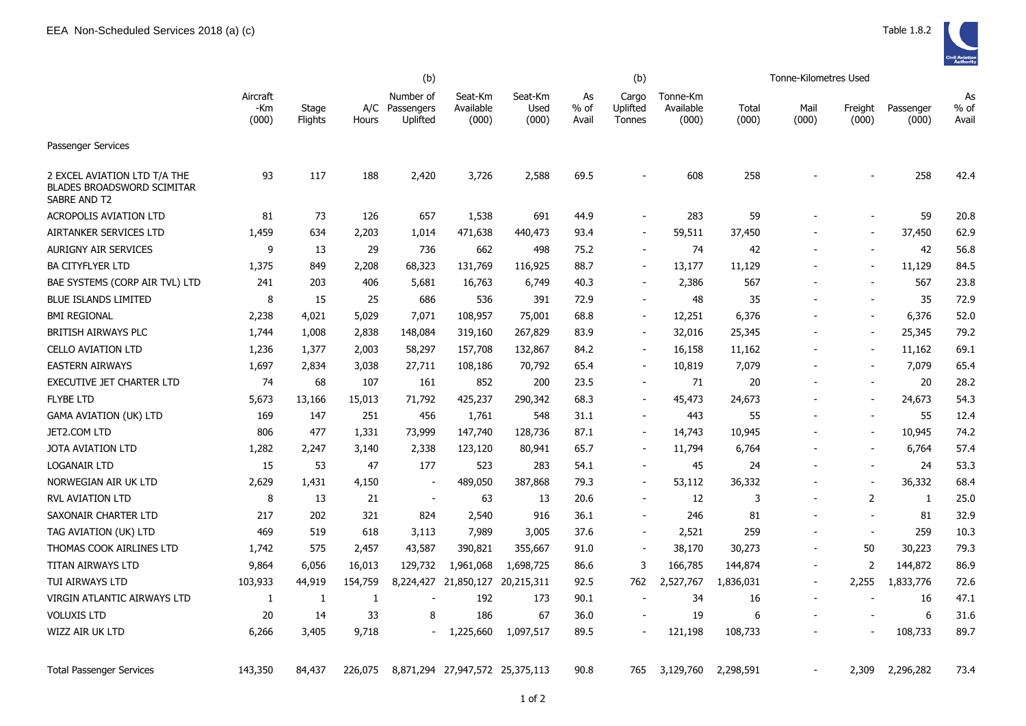|                                                                            | (b)                      |                  |              |                                     |                                 | (b)                      |                     |                             |                                |                | Tonne-Kilometres Used    |                          |                    |                     |
|----------------------------------------------------------------------------|--------------------------|------------------|--------------|-------------------------------------|---------------------------------|--------------------------|---------------------|-----------------------------|--------------------------------|----------------|--------------------------|--------------------------|--------------------|---------------------|
|                                                                            | Aircraft<br>-Km<br>(000) | Stage<br>Flights | A/C<br>Hours | Number of<br>Passengers<br>Uplifted | Seat-Km<br>Available<br>(000)   | Seat-Km<br>Used<br>(000) | As<br>% of<br>Avail | Cargo<br>Uplifted<br>Tonnes | Tonne-Km<br>Available<br>(000) | Total<br>(000) | Mail<br>(000)            | Freight<br>(000)         | Passenger<br>(000) | As<br>% of<br>Avail |
| Passenger Services                                                         |                          |                  |              |                                     |                                 |                          |                     |                             |                                |                |                          |                          |                    |                     |
| 2 EXCEL AVIATION LTD T/A THE<br>BLADES BROADSWORD SCIMITAR<br>SABRE AND T2 | 93                       | 117              | 188          | 2,420                               | 3,726                           | 2,588                    | 69.5                |                             | 608                            | 258            |                          |                          | 258                | 42.4                |
| <b>ACROPOLIS AVIATION LTD</b>                                              | 81                       | 73               | 126          | 657                                 | 1,538                           | 691                      | 44.9                |                             | 283                            | 59             |                          | $\overline{\phantom{a}}$ | 59                 | 20.8                |
| AIRTANKER SERVICES LTD                                                     | 1,459                    | 634              | 2,203        | 1,014                               | 471,638                         | 440,473                  | 93.4                | $\blacksquare$              | 59,511                         | 37,450         |                          | $\overline{\phantom{a}}$ | 37,450             | 62.9                |
| <b>AURIGNY AIR SERVICES</b>                                                | 9                        | 13               | 29           | 736                                 | 662                             | 498                      | 75.2                |                             | 74                             | 42             |                          | $\overline{\phantom{a}}$ | 42                 | 56.8                |
| <b>BA CITYFLYER LTD</b>                                                    | 1,375                    | 849              | 2,208        | 68,323                              | 131,769                         | 116,925                  | 88.7                |                             | 13,177                         | 11,129         |                          | $\overline{\phantom{a}}$ | 11,129             | 84.5                |
| BAE SYSTEMS (CORP AIR TVL) LTD                                             | 241                      | 203              | 406          | 5,681                               | 16,763                          | 6,749                    | 40.3                |                             | 2,386                          | 567            |                          | $\overline{\phantom{a}}$ | 567                | 23.8                |
| <b>BLUE ISLANDS LIMITED</b>                                                | 8                        | 15               | 25           | 686                                 | 536                             | 391                      | 72.9                | $\blacksquare$              | 48                             | 35             |                          | $\overline{\phantom{a}}$ | 35                 | 72.9                |
| BMI REGIONAL                                                               | 2,238                    | 4,021            | 5,029        | 7,071                               | 108,957                         | 75,001                   | 68.8                | $\overline{\phantom{a}}$    | 12,251                         | 6,376          |                          | $\overline{\phantom{a}}$ | 6,376              | 52.0                |
| <b>BRITISH AIRWAYS PLC</b>                                                 | 1,744                    | 1,008            | 2,838        | 148,084                             | 319,160                         | 267,829                  | 83.9                | $\overline{\phantom{a}}$    | 32,016                         | 25,345         |                          | $\overline{\phantom{a}}$ | 25,345             | 79.2                |
| <b>CELLO AVIATION LTD</b>                                                  | 1,236                    | 1,377            | 2,003        | 58,297                              | 157,708                         | 132,867                  | 84.2                | $\overline{\phantom{a}}$    | 16,158                         | 11,162         |                          | $\overline{\phantom{a}}$ | 11,162             | 69.1                |
| <b>EASTERN AIRWAYS</b>                                                     | 1,697                    | 2,834            | 3,038        | 27,711                              | 108,186                         | 70,792                   | 65.4                | $\blacksquare$              | 10,819                         | 7,079          |                          | $\overline{\phantom{a}}$ | 7,079              | 65.4                |
| <b>EXECUTIVE JET CHARTER LTD</b>                                           | 74                       | 68               | 107          | 161                                 | 852                             | 200                      | 23.5                | $\blacksquare$              | 71                             | 20             |                          | $\overline{\phantom{a}}$ | 20                 | 28.2                |
| <b>FLYBE LTD</b>                                                           | 5,673                    | 13,166           | 15,013       | 71,792                              | 425,237                         | 290,342                  | 68.3                | $\blacksquare$              | 45,473                         | 24,673         |                          | $\overline{a}$           | 24,673             | 54.3                |
| GAMA AVIATION (UK) LTD                                                     | 169                      | 147              | 251          | 456                                 | 1,761                           | 548                      | 31.1                | $\sim$                      | 443                            | 55             |                          | $\overline{\phantom{a}}$ | 55                 | 12.4                |
| JET2.COM LTD                                                               | 806                      | 477              | 1,331        | 73,999                              | 147,740                         | 128,736                  | 87.1                | $\blacksquare$              | 14,743                         | 10,945         |                          | $\overline{\phantom{a}}$ | 10,945             | 74.2                |
| JOTA AVIATION LTD                                                          | 1,282                    | 2,247            | 3,140        | 2,338                               | 123,120                         | 80,941                   | 65.7                |                             | 11,794                         | 6,764          |                          | $\overline{\phantom{a}}$ | 6,764              | 57.4                |
| Loganair Ltd                                                               | 15                       | 53               | 47           | 177                                 | 523                             | 283                      | 54.1                | $\sim$                      | 45                             | 24             |                          | $\blacksquare$           | 24                 | 53.3                |
| NORWEGIAN AIR UK LTD                                                       | 2,629                    | 1,431            | 4,150        | $\overline{\phantom{a}}$            | 489,050                         | 387,868                  | 79.3                | $\blacksquare$              | 53,112                         | 36,332         |                          | $\overline{\phantom{a}}$ | 36,332             | 68.4                |
| <b>RVL AVIATION LTD</b>                                                    | 8                        | 13               | 21           | $\overline{\phantom{a}}$            | 63                              | 13                       | 20.6                | $\blacksquare$              | 12                             | 3              |                          | 2                        | $\mathbf{1}$       | 25.0                |
| SAXONAIR CHARTER LTD                                                       | 217                      | 202              | 321          | 824                                 | 2,540                           | 916                      | 36.1                | $\sim$                      | 246                            | 81             |                          | $\overline{\phantom{a}}$ | 81                 | 32.9                |
| TAG AVIATION (UK) LTD                                                      | 469                      | 519              | 618          | 3,113                               | 7,989                           | 3,005                    | 37.6                | $\blacksquare$              | 2,521                          | 259            |                          | $\sim$                   | 259                | 10.3                |
| THOMAS COOK AIRLINES LTD                                                   | 1,742                    | 575              | 2,457        | 43,587                              | 390,821                         | 355,667                  | 91.0                |                             | 38,170                         | 30,273         |                          | 50                       | 30,223             | 79.3                |
| TITAN AIRWAYS LTD                                                          | 9,864                    | 6,056            | 16,013       | 129,732                             | 1,961,068                       | 1,698,725                | 86.6                | 3                           | 166,785                        | 144,874        |                          | 2                        | 144,872            | 86.9                |
| TUI AIRWAYS LTD                                                            | 103,933                  | 44,919           | 154,759      |                                     | 8,224,427 21,850,127            | 20,215,311               | 92.5                | 762                         | 2,527,767                      | 1,836,031      | $\overline{\phantom{a}}$ | 2,255                    | 1,833,776          | 72.6                |
| VIRGIN ATLANTIC AIRWAYS LTD                                                | -1                       | 1                | -1           |                                     | 192                             | 173                      | 90.1                |                             | 34                             | 16             |                          | $\overline{\phantom{a}}$ | 16                 | 47.1                |
| <b>VOLUXIS LTD</b>                                                         | 20                       | 14               | 33           | 8                                   | 186                             | 67                       | 36.0                |                             | 19                             | 6              |                          |                          | 6                  | 31.6                |
| WIZZ AIR UK LTD                                                            | 6,266                    | 3,405            | 9,718        |                                     | 1,225,660                       | 1,097,517                | 89.5                |                             | 121,198                        | 108,733        |                          |                          | 108,733            | 89.7                |
| <b>Total Passenger Services</b>                                            | 143,350                  | 84,437           | 226,075      |                                     | 8,871,294 27,947,572 25,375,113 |                          | 90.8                | 765                         | 3,129,760                      | 2,298,591      |                          | 2,309                    | 2,296,282          | 73.4                |